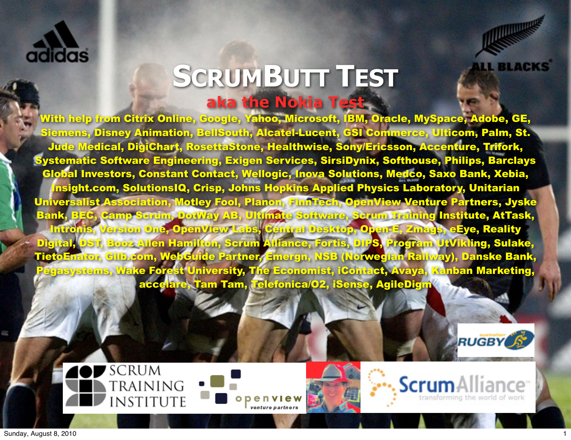



#### **SCRUMBUTT TEST aka the Nokia Test**

With help from Citrix Online, Google, Yahoo, Microsoft, IBM, Oracle, MySpace, Adobe, GE, Siemens, Disney Animation, BellSouth, Alcatel-Lucent, GSI Commerce, Ulticom, Palm, St. Jude Medical, DigiChart, RosettaStone, Healthwise, Sony/Ericsson, Accenture, Trifork, Systematic Software Engineering, Exigen Services, SirsiDynix, Softhouse, Philips, Barclays Global Investors, Constant Contact, Wellogic, Inova Solutions, Medco, Saxo Bank, Xebia, Insight.com, SolutionsIQ, Crisp, Johns Hopkins Applied Physics Laboratory, Unitarian Universalist Association, Motley Fool, Planon, FinnTech, OpenView Venture Partners, Jyske Bank, BEC, Camp Scrum, DotWay AB, Ultimate Software, Scrum Training Institute, AtTask, Intronis, Version One, OpenView Labs, Central Desktop, Open-E, Zmags, eEye, Reality Digital, DST, Booz Allen Hamilton, Scrum Alliance, Fortis, DIPS, Program UtVikling, Sulake, TietoEnator, Gilb.com, WebGuide Partner, Emergn, NSB (Norwegian Railway), Danske Bank, Pegasystems, Wake Forest University, The Economist, iContact, Avaya, Kanban Marketing, accelare, Tam Tam, Telefonica/O2, iSense, AgileDigm







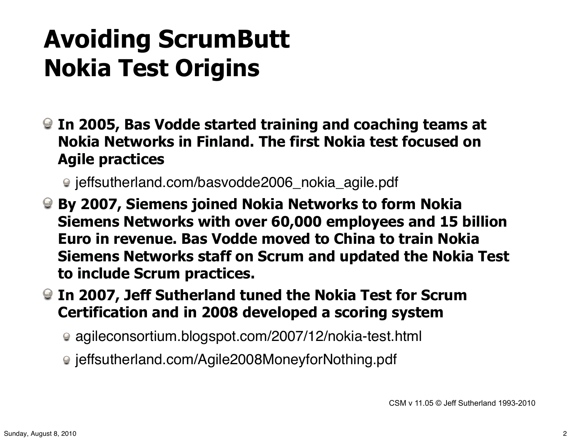#### **Avoiding ScrumButt Nokia Test Origins**

**In 2005, Bas Vodde started training and coaching teams at Nokia Networks in Finland. The first Nokia test focused on Agile practices**

● jeffsutherland.com/basvodde2006\_nokia\_agile.pdf

- **By 2007, Siemens joined Nokia Networks to form Nokia Siemens Networks with over 60,000 employees and 15 billion Euro in revenue. Bas Vodde moved to China to train Nokia Siemens Networks staff on Scrum and updated the Nokia Test to include Scrum practices.**
- **In 2007, Jeff Sutherland tuned the Nokia Test for Scrum Certification and in 2008 developed a scoring system**
	- agileconsortium.blogspot.com/2007/12/nokia-test.html
	- jeffsutherland.com/Agile2008MoneyforNothing.pdf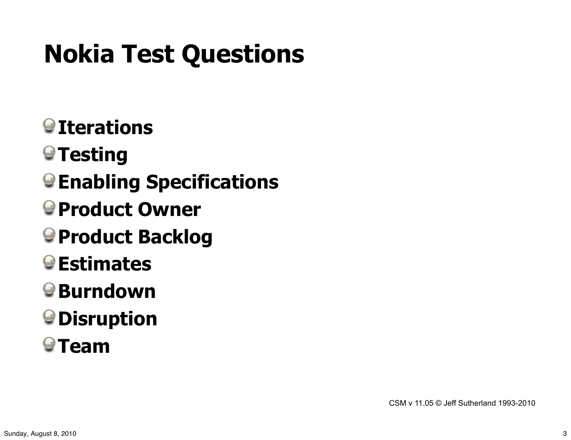## **Nokia Test Questions**

- **Iterations**
- **<sup>●</sup> Testing**
- **Enabling Specifications**
- **Product Owner**
- **Product Backlog**
- **Estimates**
- **Burndown**
- **Disruption**
- **O**Team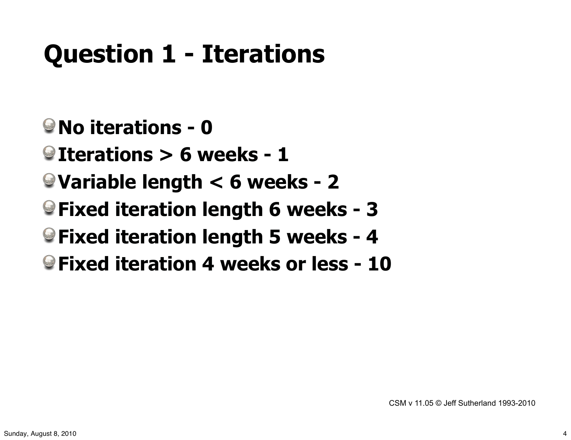## **Question 1 - Iterations**

- **No iterations 0**
- **Iterations > 6 weeks 1**
- **Variable length < 6 weeks 2**
- **Fixed iteration length 6 weeks 3**
- **Fixed iteration length 5 weeks 4**
- **Fixed iteration 4 weeks or less 10**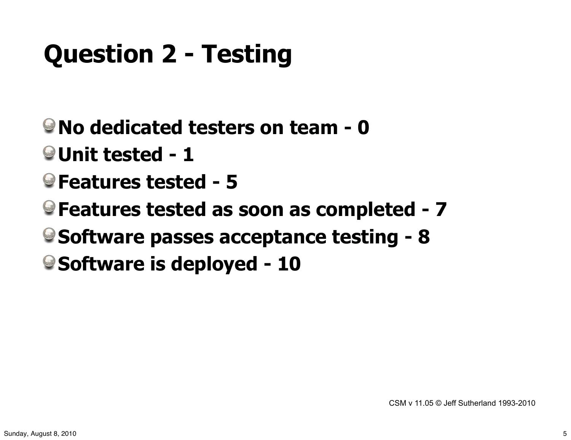# **Question 2 - Testing**

- **No dedicated testers on team 0**
- **Unit tested 1**
- **Features tested 5**
- **Features tested as soon as completed 7**
- **Software passes acceptance testing 8**
- **Software is deployed 10**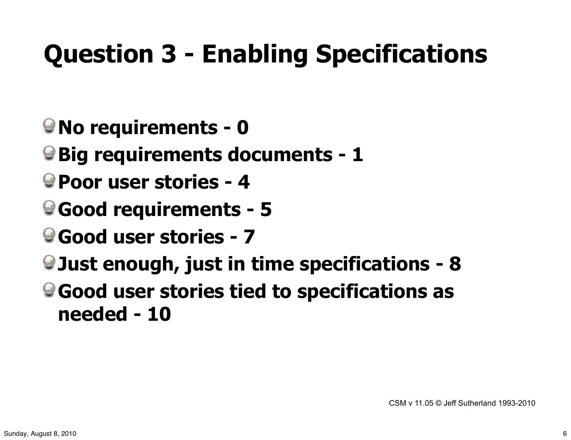# **Question 3 - Enabling Specifications**

- **No requirements 0**
- **Big requirements documents 1**
- **Poor user stories 4**
- **Good requirements 5**
- **Good user stories 7**
- **Just enough, just in time specifications 8**
- **Good user stories tied to specifications as needed - 10**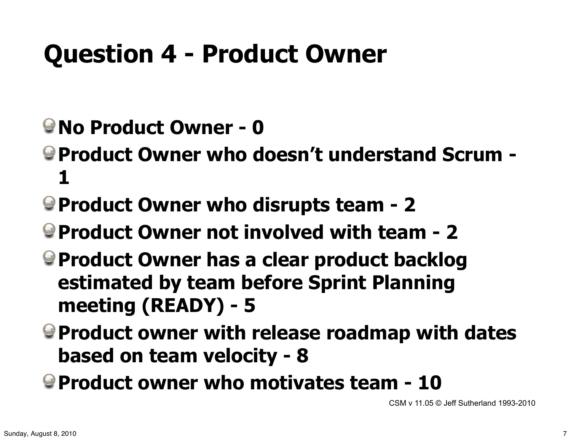## **Question 4 - Product Owner**

- **No Product Owner 0**
- **Product Owner who doesn't understand Scrum 1**
- **Product Owner who disrupts team 2**
- **Product Owner not involved with team 2**
- **Product Owner has a clear product backlog estimated by team before Sprint Planning meeting (READY) - 5**
- **Product owner with release roadmap with dates based on team velocity - 8**
- **Product owner who motivates team 10**

CSM v 11.05 © Jeff Sutherland 1993-2010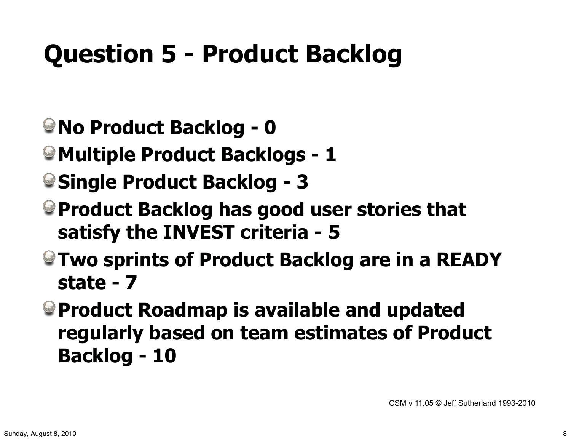## **Question 5 - Product Backlog**

- **No Product Backlog 0**
- **Multiple Product Backlogs 1**
- **Single Product Backlog 3**
- **Product Backlog has good user stories that satisfy the INVEST criteria - 5**
- **Two sprints of Product Backlog are in a READY state - 7**
- **Product Roadmap is available and updated regularly based on team estimates of Product Backlog - 10**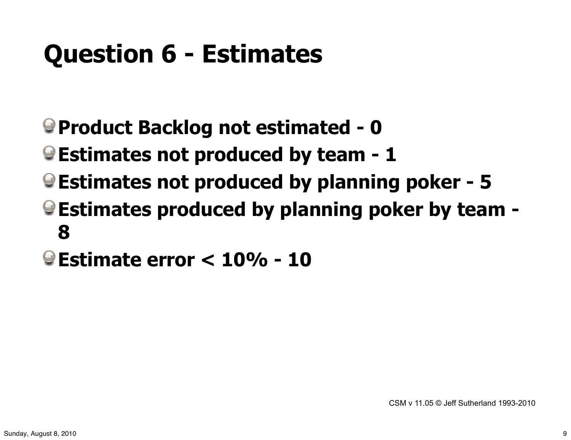## **Question 6 - Estimates**

- **Product Backlog not estimated 0**
- **Estimates not produced by team 1**
- **Estimates not produced by planning poker 5**
- **Estimates produced by planning poker by team 8**
- **Estimate error < 10% 10**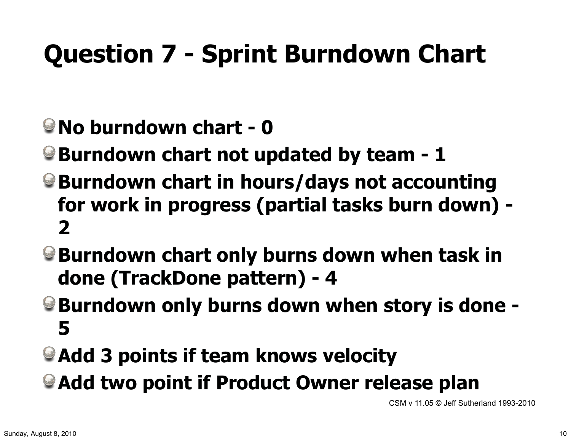# **Question 7 - Sprint Burndown Chart**

- **No burndown chart 0**
- **Burndown chart not updated by team 1**
- **Burndown chart in hours/days not accounting for work in progress (partial tasks burn down) - 2**
- **Burndown chart only burns down when task in done (TrackDone pattern) - 4**
- **Burndown only burns down when story is done 5**
- **Add 3 points if team knows velocity**
- **Add two point if Product Owner release plan**

CSM v 11.05 © Jeff Sutherland 1993-2010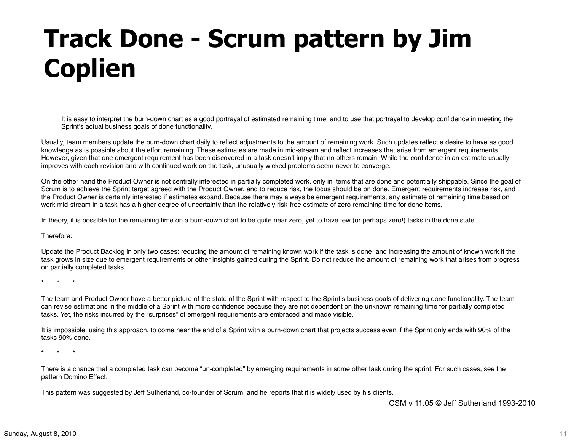## **Track Done - Scrum pattern by Jim Coplien**

It is easy to interpret the burn-down chart as a good portrayal of estimated remaining time, and to use that portrayal to develop confidence in meeting the Sprint's actual business goals of done functionality.

Usually, team members update the burn-down chart daily to reflect adjustments to the amount of remaining work. Such updates reflect a desire to have as good knowledge as is possible about the effort remaining. These estimates are made in mid-stream and reflect increases that arise from emergent requirements. However, given that one emergent requirement has been discovered in a task doesn't imply that no others remain. While the confidence in an estimate usually improves with each revision and with continued work on the task, unusually wicked problems seem never to converge.

On the other hand the Product Owner is not centrally interested in partially completed work, only in items that are done and potentially shippable. Since the goal of Scrum is to achieve the Sprint target agreed with the Product Owner, and to reduce risk, the focus should be on done. Emergent requirements increase risk, and the Product Owner is certainly interested if estimates expand. Because there may always be emergent requirements, any estimate of remaining time based on work mid-stream in a task has a higher degree of uncertainty than the relatively risk-free estimate of zero remaining time for done items.

In theory, it is possible for the remaining time on a burn-down chart to be quite near zero, yet to have few (or perhaps zero!) tasks in the done state.

Therefore:

Update the Product Backlog in only two cases: reducing the amount of remaining known work if the task is done; and increasing the amount of known work if the task grows in size due to emergent requirements or other insights gained during the Sprint. Do not reduce the amount of remaining work that arises from progress on partially completed tasks.

\* \* \*

The team and Product Owner have a better picture of the state of the Sprint with respect to the Sprint's business goals of delivering done functionality. The team can revise estimations in the middle of a Sprint with more confidence because they are not dependent on the unknown remaining time for partially completed tasks. Yet, the risks incurred by the "surprises" of emergent requirements are embraced and made visible.

It is impossible, using this approach, to come near the end of a Sprint with a burn-down chart that projects success even if the Sprint only ends with 90% of the tasks 90% done.

\* \* \*

There is a chance that a completed task can become "un-completed" by emerging requirements in some other task during the sprint. For such cases, see the pattern Domino Effect.

This pattern was suggested by Jeff Sutherland, co-founder of Scrum, and he reports that it is widely used by his clients.

CSM v 11.05 © Jeff Sutherland 1993-2010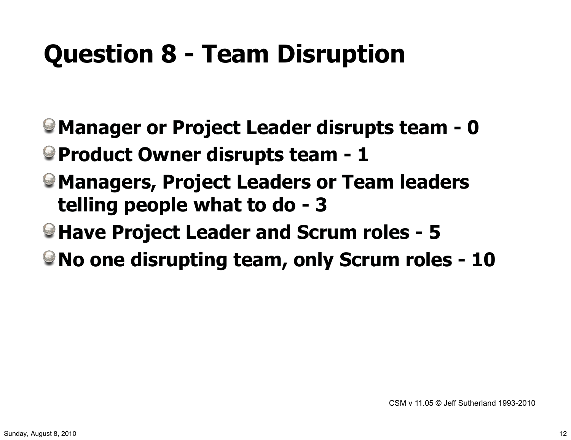## **Question 8 - Team Disruption**

- **Manager or Project Leader disrupts team 0**
- **Product Owner disrupts team 1**
- **Managers, Project Leaders or Team leaders telling people what to do - 3**
- **Have Project Leader and Scrum roles 5**
- **No one disrupting team, only Scrum roles 10**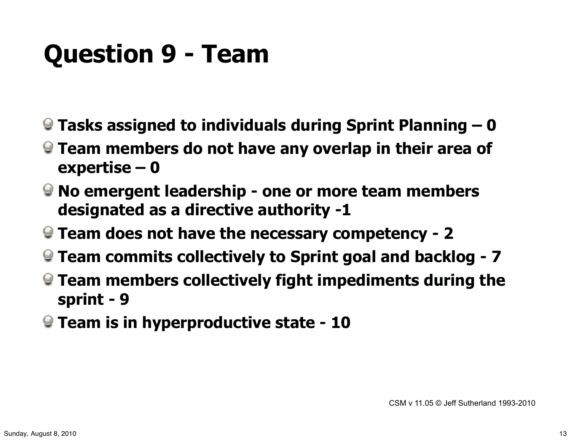#### **Question 9 - Team**

- **Tasks assigned to individuals during Sprint Planning 0**
- **Team members do not have any overlap in their area of expertise – 0**
- **No emergent leadership one or more team members designated as a directive authority -1**
- **Team does not have the necessary competency 2**
- **Team commits collectively to Sprint goal and backlog 7**
- **Team members collectively fight impediments during the sprint - 9**
- **Team is in hyperproductive state 10**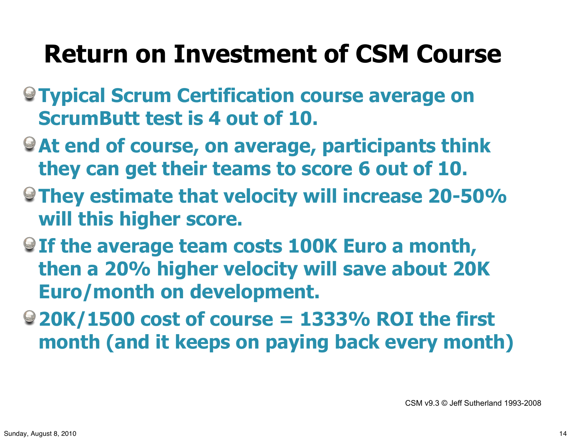#### **Return on Investment of CSM Course**

- **Typical Scrum Certification course average on ScrumButt test is 4 out of 10.**
- **At end of course, on average, participants think they can get their teams to score 6 out of 10.**
- **They estimate that velocity will increase 20-50% will this higher score.**
- **If the average team costs 100K Euro a month, then a 20% higher velocity will save about 20K Euro/month on development.**
- **20K/1500 cost of course = 1333% ROI the first month (and it keeps on paying back every month)**